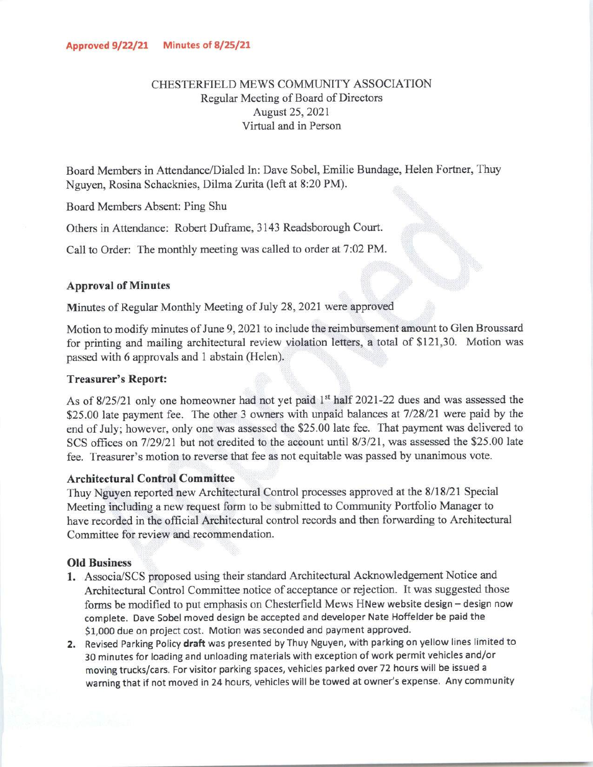# CHESTERFIELD MEWS COMMUNITY ASSOCIATION Regular Meeting of Board of Directors August 25, 2021 Virtual and in Person

Board Members in Attendance/Dialed In: Dave Sobel, Emilie Bundage, Helen Fortner, Thuy Nguyen, Rosina Schacknies, DilmaZurita(left at 8:20 PM).

Board Members Absent: Ping Shu

Others in Attendance: Robert Duframe, 3143 Readsborough Court.

Call to Order: The monthly meeting was called to order at 7:02 PM.

## *Approval of Minutes*

Minutes of Regular Monthly Meeting of July 28, 2021 were approved

Motion to modify minutes of June 9, 2021 to include the reimbursement amount to Glen Broussard for printing and mailing architectural review violation letters, *a* total of \$121,30. Motion was passed with 6 approvals and 1 abstain (Helen).

#### *Treasurer's Report:*

As of 8/25/21 only one homeowner had not yet paid 1<sup>st</sup> half 2021-22 dues and was assessed the \$25.00 late payment fee. The other 3 owners with unpaid balances at 7/28/21 were paid by the end of July; however, only one was assessed the \$25.00 late fee. That payment was delivered to SCS offices on 7/29/21 but not credited to the account until 8/3/21, was assessed the \$25.00 late fee. Treasurer's motion to reverse that fee as not equitable was passed by unanimous vote.

#### *Architectural Control Committee*

Thuy Nguyen reported new Architectural Control processes approved at the 8/18/21 Special Meeting including a new request form to be submitted to Community Portfolio Manager to have recorded in the official Architectural control records and then forwarding to Architectural Committee for review and recommendation.

### *Old Business*

- 1. Associa/SCS proposed using their standard Architectural Acknowledgement Notice and Architectural Control Committee notice of acceptance or rejection. It was suggested those forms be modified to put emphasis on Chesterfield Mews HNew website design - design now complete. Dave Sobel moved design be accepted and developer Nate Hoffelder be paid the \$1,000 due on project cost. Motion was seconded and payment approved.
- 2. Revised Parking Policy draft was presented by Thuy Nguyen, with parking on yellow lines limited to 30 minutes for loading and unloading materials with exception of work permit vehicles and/or moving trucks/cars. For visitor parking spaces, vehicles parked over 72 hours will be issued a warning that if not moved in 24 hours, vehicles will be towed at owner's expense. Any community